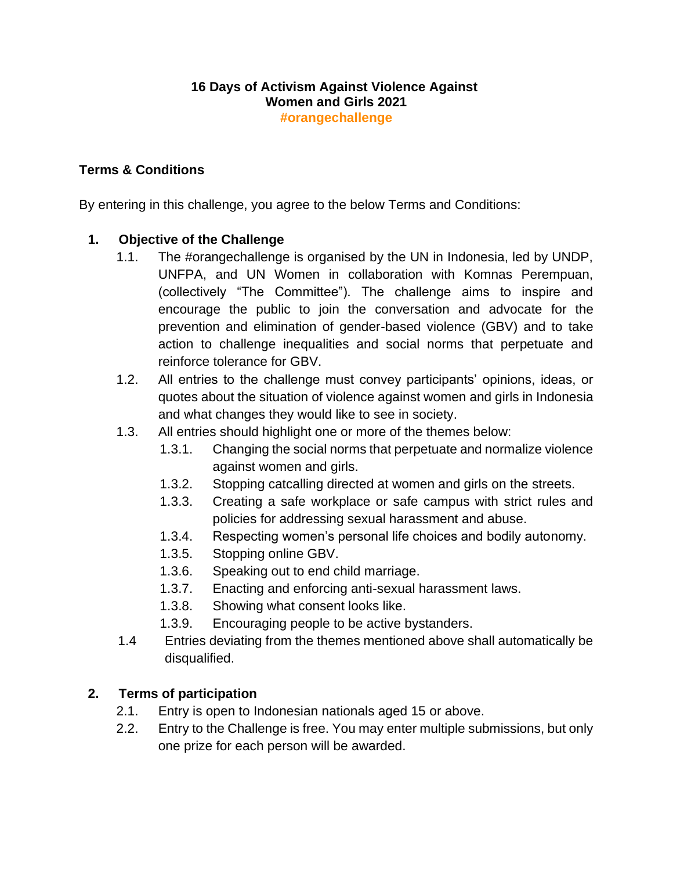#### **16 Days of Activism Against Violence Against Women and Girls 2021 #orangechallenge**

## **Terms & Conditions**

By entering in this challenge, you agree to the below Terms and Conditions:

## **1. Objective of the Challenge**

- 1.1. The #orangechallenge is organised by the UN in Indonesia, led by UNDP, UNFPA, and UN Women in collaboration with Komnas Perempuan, (collectively "The Committee"). The challenge aims to inspire and encourage the public to join the conversation and advocate for the prevention and elimination of gender-based violence (GBV) and to take action to challenge inequalities and social norms that perpetuate and reinforce tolerance for GBV.
- 1.2. All entries to the challenge must convey participants' opinions, ideas, or quotes about the situation of violence against women and girls in Indonesia and what changes they would like to see in society.
- 1.3. All entries should highlight one or more of the themes below:
	- 1.3.1. Changing the social norms that perpetuate and normalize violence against women and girls.
	- 1.3.2. Stopping catcalling directed at women and girls on the streets.
	- 1.3.3. Creating a safe workplace or safe campus with strict rules and policies for addressing sexual harassment and abuse.
	- 1.3.4. Respecting women's personal life choices and bodily autonomy.
	- 1.3.5. Stopping online GBV.
	- 1.3.6. Speaking out to end child marriage.
	- 1.3.7. Enacting and enforcing anti-sexual harassment laws.
	- 1.3.8. Showing what consent looks like.
	- 1.3.9. Encouraging people to be active bystanders.
- 1.4 Entries deviating from the themes mentioned above shall automatically be disqualified.

#### **2. Terms of participation**

- 2.1. Entry is open to Indonesian nationals aged 15 or above.
- 2.2. Entry to the Challenge is free. You may enter multiple submissions, but only one prize for each person will be awarded.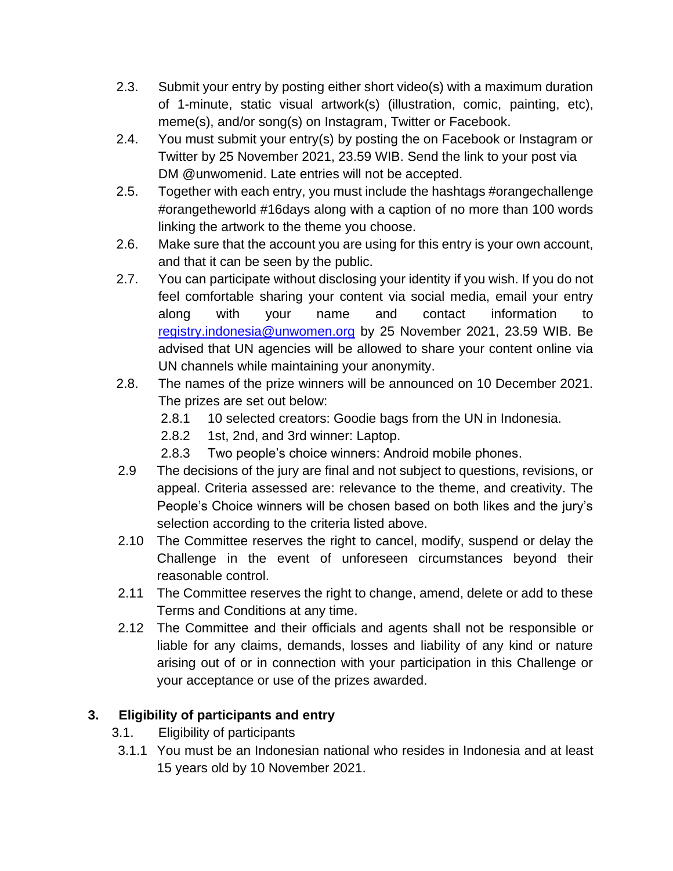- 2.3. Submit your entry by posting either short video(s) with a maximum duration of 1-minute, static visual artwork(s) (illustration, comic, painting, etc), meme(s), and/or song(s) on Instagram, Twitter or Facebook.
- 2.4. You must submit your entry(s) by posting the on Facebook or Instagram or Twitter by 25 November 2021, 23.59 WIB. Send the link to your post via DM @unwomenid. Late entries will not be accepted.
- 2.5. Together with each entry, you must include the hashtags #orangechallenge #orangetheworld #16days along with a caption of no more than 100 words linking the artwork to the theme you choose.
- 2.6. Make sure that the account you are using for this entry is your own account, and that it can be seen by the public.
- 2.7. You can participate without disclosing your identity if you wish. If you do not feel comfortable sharing your content via social media, email your entry along with your name and contact information to [registry.indonesia@unwomen.org](mailto:registry.indonesia@unwomen.org) by 25 November 2021, 23.59 WIB. Be advised that UN agencies will be allowed to share your content online via UN channels while maintaining your anonymity.
- 2.8. The names of the prize winners will be announced on 10 December 2021. The prizes are set out below:
	- 2.8.1 10 selected creators: Goodie bags from the UN in Indonesia.
	- 2.8.2 1st, 2nd, and 3rd winner: Laptop.
	- 2.8.3 Two people's choice winners: Android mobile phones.
- 2.9 The decisions of the jury are final and not subject to questions, revisions, or appeal. Criteria assessed are: relevance to the theme, and creativity. The People's Choice winners will be chosen based on both likes and the jury's selection according to the criteria listed above.
- 2.10 The Committee reserves the right to cancel, modify, suspend or delay the Challenge in the event of unforeseen circumstances beyond their reasonable control.
- 2.11 The Committee reserves the right to change, amend, delete or add to these Terms and Conditions at any time.
- 2.12 The Committee and their officials and agents shall not be responsible or liable for any claims, demands, losses and liability of any kind or nature arising out of or in connection with your participation in this Challenge or your acceptance or use of the prizes awarded.

# **3. Eligibility of participants and entry**

- 3.1. Eligibility of participants
- 3.1.1 You must be an Indonesian national who resides in Indonesia and at least 15 years old by 10 November 2021.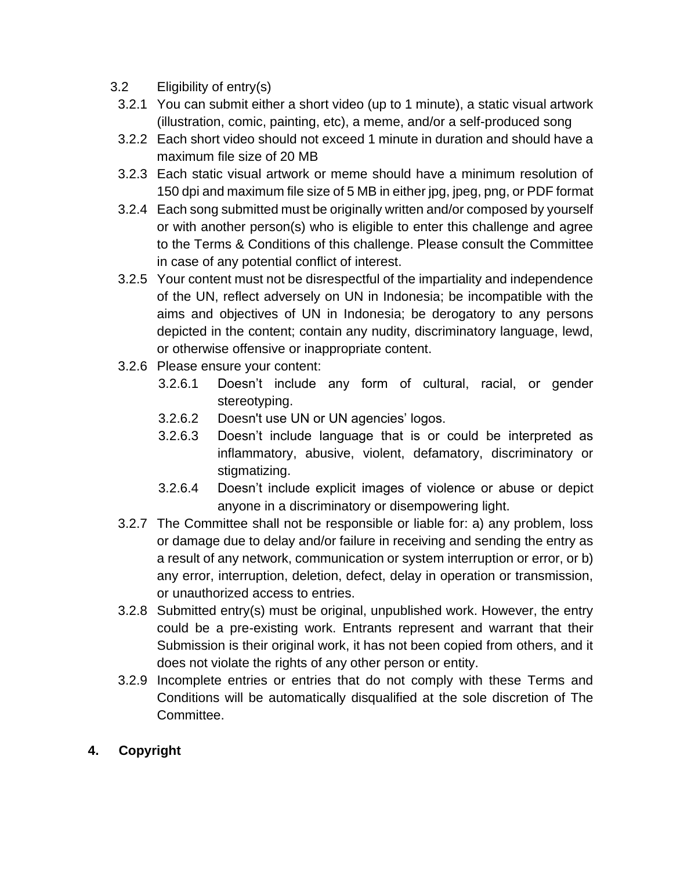- 3.2 Eligibility of entry(s)
- 3.2.1 You can submit either a short video (up to 1 minute), a static visual artwork (illustration, comic, painting, etc), a meme, and/or a self-produced song
- 3.2.2 Each short video should not exceed 1 minute in duration and should have a maximum file size of 20 MB
- 3.2.3 Each static visual artwork or meme should have a minimum resolution of 150 dpi and maximum file size of 5 MB in either jpg, jpeg, png, or PDF format
- 3.2.4 Each song submitted must be originally written and/or composed by yourself or with another person(s) who is eligible to enter this challenge and agree to the Terms & Conditions of this challenge. Please consult the Committee in case of any potential conflict of interest.
- 3.2.5 Your content must not be disrespectful of the impartiality and independence of the UN, reflect adversely on UN in Indonesia; be incompatible with the aims and objectives of UN in Indonesia; be derogatory to any persons depicted in the content; contain any nudity, discriminatory language, lewd, or otherwise offensive or inappropriate content.
- 3.2.6 Please ensure your content:
	- 3.2.6.1 Doesn't include any form of cultural, racial, or gender stereotyping.
	- 3.2.6.2 Doesn't use UN or UN agencies' logos.
	- 3.2.6.3 Doesn't include language that is or could be interpreted as inflammatory, abusive, violent, defamatory, discriminatory or stigmatizing.
	- 3.2.6.4 Doesn't include explicit images of violence or abuse or depict anyone in a discriminatory or disempowering light.
- 3.2.7 The Committee shall not be responsible or liable for: a) any problem, loss or damage due to delay and/or failure in receiving and sending the entry as a result of any network, communication or system interruption or error, or b) any error, interruption, deletion, defect, delay in operation or transmission, or unauthorized access to entries.
- 3.2.8 Submitted entry(s) must be original, unpublished work. However, the entry could be a pre-existing work. Entrants represent and warrant that their Submission is their original work, it has not been copied from others, and it does not violate the rights of any other person or entity.
- 3.2.9 Incomplete entries or entries that do not comply with these Terms and Conditions will be automatically disqualified at the sole discretion of The Committee.

## **4. Copyright**